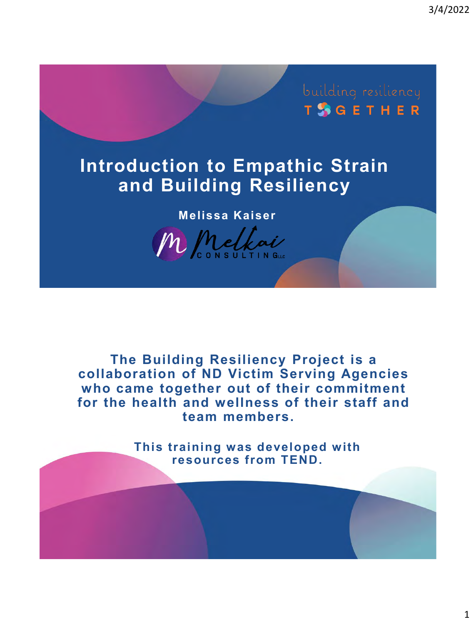3/4/2022

**TSGETHER** 

# **Introduction to Empathic Strain and Building Resiliency**

**Melissa Kaiser**



**The Building Resiliency Project is a collaboration of ND Victim Serving Agencies who came together out of their commitment for the health and wellness of their staff and team members.** 

> **This training was developed with resources from TEND.**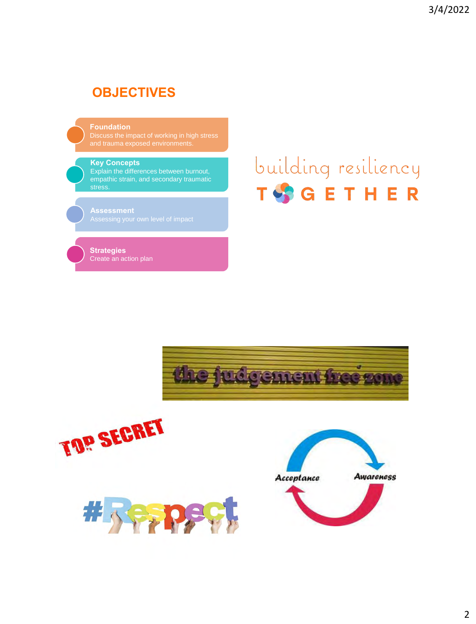#### **OBJECTIVES**

**Foundation**

Discuss the impact of working in high stress and trauma exposed environments.

#### **Key Concepts**

empathic strain, and secondary traumatic stress.

**Assessment**

**Strategies** Create an action plan

# building resiliency TSGETHER



TOP SECRET



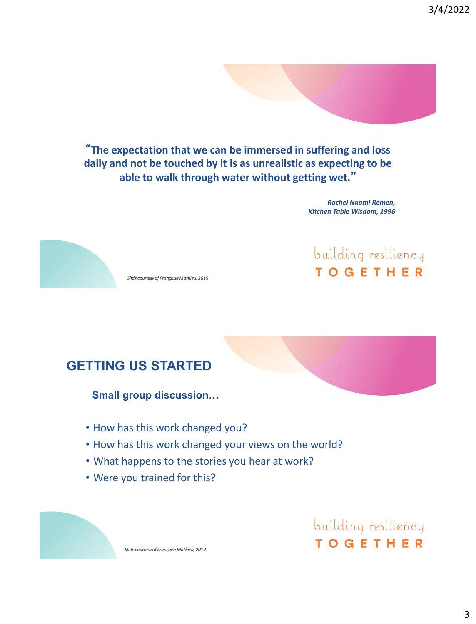3/4/2022

"**The expectation that we can be immersed in suffering and loss daily and not be touched by it is as unrealistic as expecting to be able to walk through water without getting wet.**"

> *Rachel Naomi Remen, Kitchen Table Wisdom, 1996*



building resiliency **TOGETHER** 

#### **GETTING US STARTED**

**Small group discussion…**

- How has this work changed you?
- How has this work changed your views on the world?
- What happens to the stories you hear at work?
- Were you trained for this?

building resiliency **TOGETHER**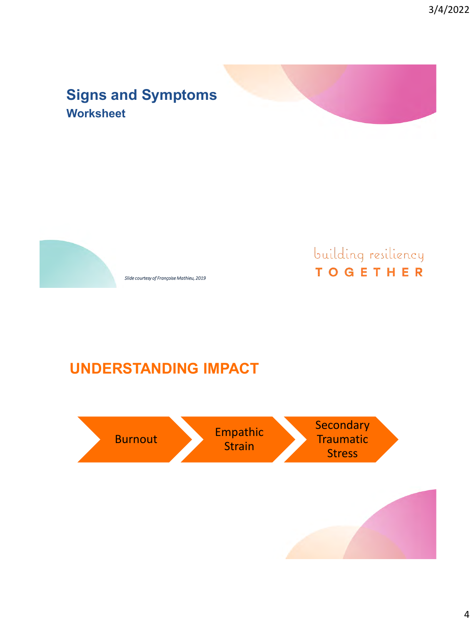### **Signs and Symptoms Worksheet**



*Slide courtesy of Françoise Mathieu, 2019*

# building resiliency **TOGETHER**

**UNDERSTANDING IMPACT**

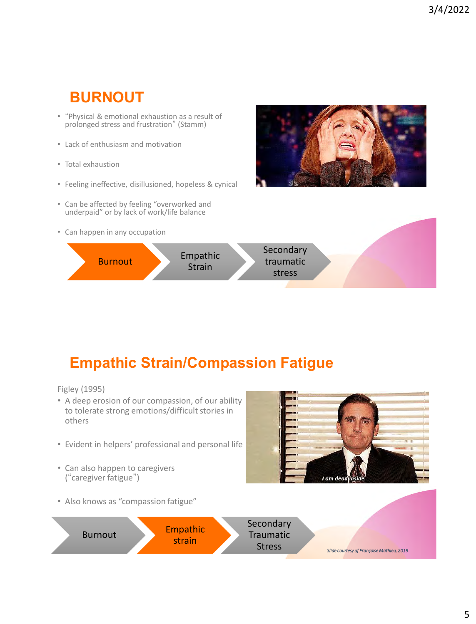# **BURNOUT**

- "Physical & emotional exhaustion as a result of prolonged stress and frustration" (Stamm)
- Lack of enthusiasm and motivation
- Total exhaustion
- Feeling ineffective, disillusioned, hopeless & cynical
- Can be affected by feeling "overworked and underpaid" or by lack of work/life balance
- Can happen in any occupation





# **Empathic Strain/Compassion Fatigue**

Figley (1995)

- A deep erosion of our compassion, of our ability to tolerate strong emotions/difficult stories in others
- Evident in helpers' professional and personal life
- Can also happen to caregivers ("caregiver fatigue")



• Also knows as "compassion fatigue"

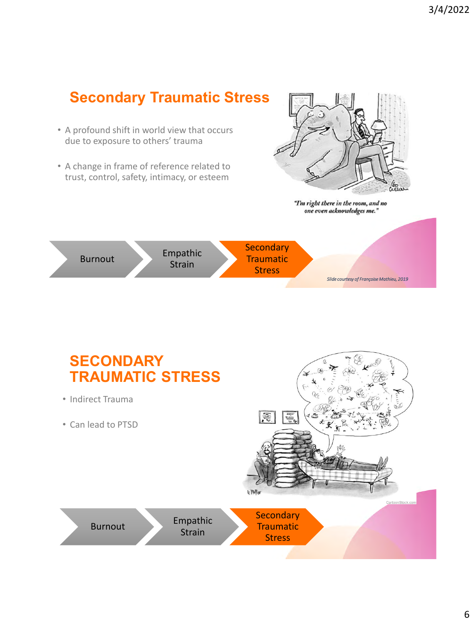

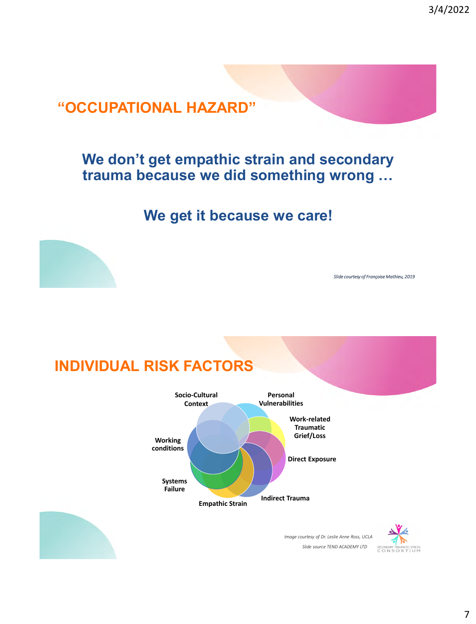3/4/2022

## **"OCCUPATIONAL HAZARD"**

### **We don't get empathic strain and secondary trauma because we did something wrong …**

**We get it because we care!**



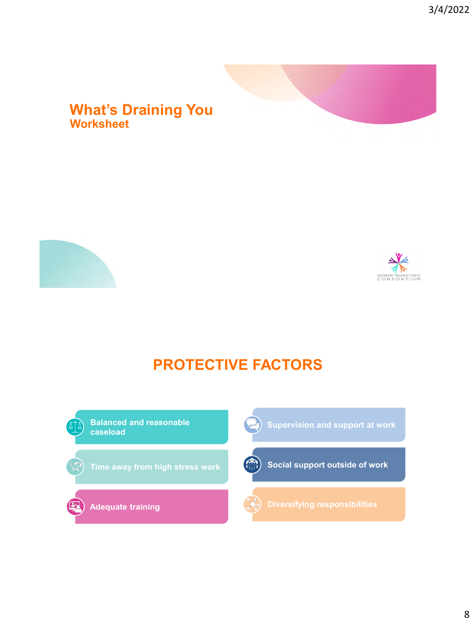#### **What's Draining You Worksheet**





# **PROTECTIVE FACTORS**

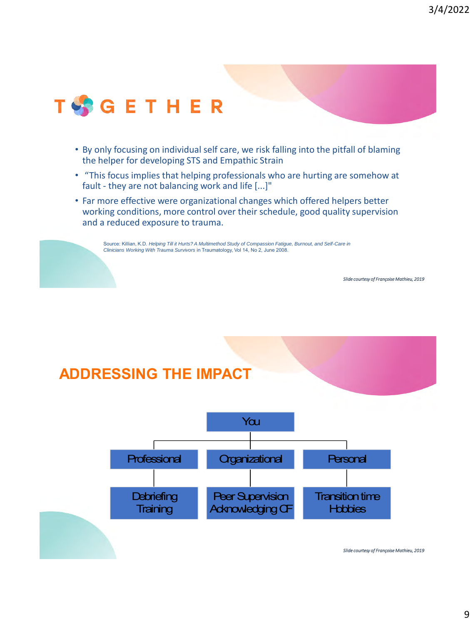

- By only focusing on individual self care, we risk falling into the pitfall of blaming the helper for developing STS and Empathic Strain
- "This focus implies that helping professionals who are hurting are somehow at fault - they are not balancing work and life [...]"
- Far more effective were organizational changes which offered helpers better working conditions, more control over their schedule, good quality supervision and a reduced exposure to trauma.

Source: Killian, K.D. *Helping Till it Hurts? A Multimethod Study of Compassion Fatigue, Burnout, and Self-Care in Clinicians Working With Trauma Survivors* in Traumatology, Vol 14, No 2, June 2008.

*Slide courtesy of Françoise Mathieu, 2019*

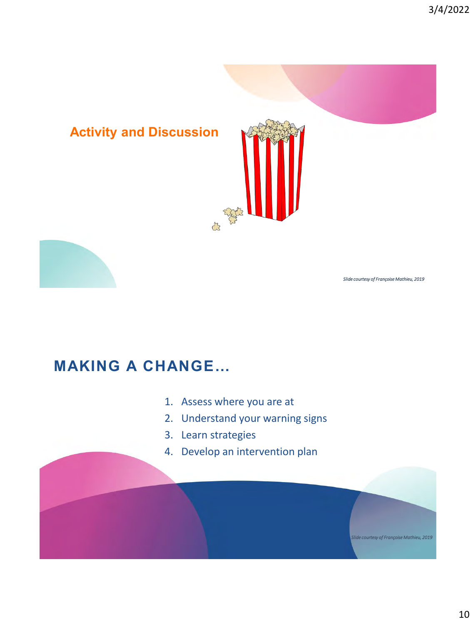

# **MAKING A CHANGE…**

- 1. Assess where you are at
- 2. Understand your warning signs
- 3. Learn strategies
- 4. Develop an intervention plan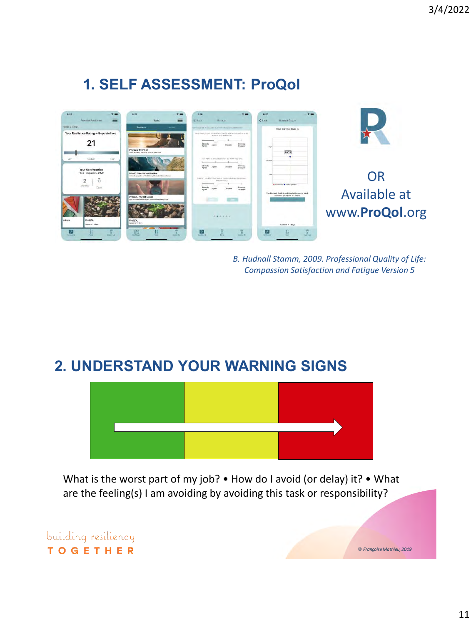# **1. SELF ASSESSMENT: ProQol**



*B. Hudnall Stamm, 2009. Professional Quality of Life: Compassion Satisfaction and Fatigue Version 5*

#### **2. UNDERSTAND YOUR WARNING SIGNS**



What is the worst part of my job? • How do I avoid (or delay) it? • What are the feeling(s) I am avoiding by avoiding this task or responsibility?

building resiliency **TOGETHER** 

© *Françoise Mathieu, 2019*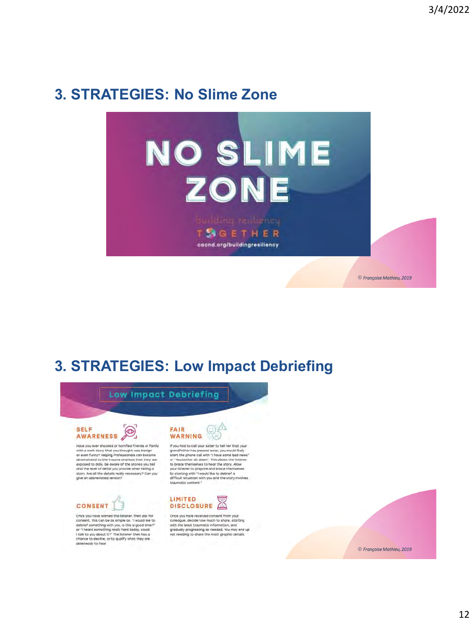## **3. STRATEGIES: No Slime Zone**



# **3. STRATEGIES: Low Impact Debriefing**





Have you ever shooked or harrified friends or family have you are since and you thought was being<br>or even funny? Helping Professionals can become the west funny? Helping Professionals can become<br>desensitized to the trauma and loss that they are<br>exposed to daily. Be aware of story. Are all the details really necessary? Can you<br>give an abbreviated version?



Once you have warned the listener, then ask for<br>consent. This can be as simple as: "I would like to consent. This can be be simple us. The valuation of the defect of something with you, is this a good time?"<br>at "I heard something really hard today, could<br>trittak to you about it?" The listener then has a chance to decline



If you had to call your sister to tell her that your If you had to call your size for to tell her that your your ground disaly grandfather hos passed away, you would likely start the phane call with "I have same bad news"<br>start the phane call with "I have same bad news"<br>to



Once you have received consent from your one you were received conserved and colleague, decide how much to share, starting<br>with the least traumatic information, and<br>gradually progressing as needed. You may end up<br>not needing to share the most graphic details.

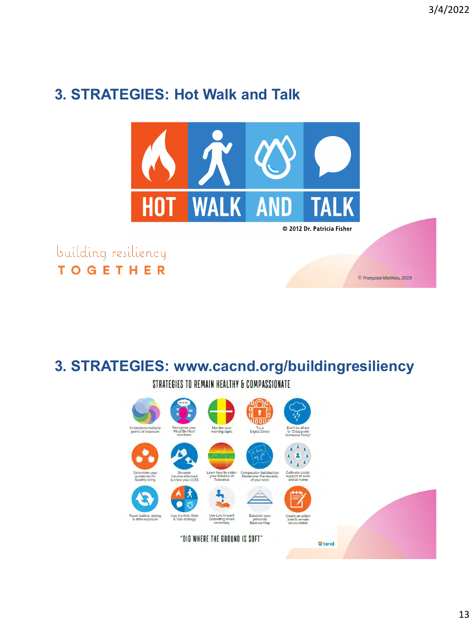© *Françoise Mathieu, 2019*

# **3. STRATEGIES: Hot Walk and Talk**



building resiliency **TOGETHER** 

# **3. STRATEGIES: www.cacnd.org/buildingresiliency**

STRATEGIES TO REMAIN HEALTHY & COMPASSIONATE

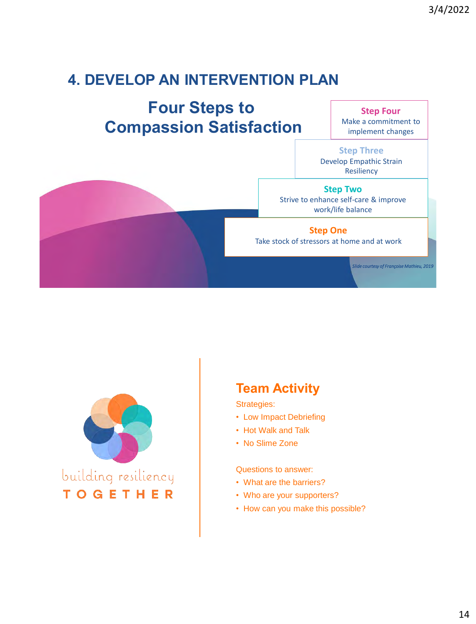# **4. DEVELOP AN INTERVENTION PLAN**

# **Four Steps to Compassion Satisfaction**

**Step Four** Make a commitment to implement changes

**Step Three** Develop Empathic Strain Resiliency

**Step Two** Strive to enhance self-care & improve work/life balance

**Step One** Take stock of stressors at home and at work

*Slide courtesy of Françoise Mathieu, 2019*



#### **Team Activity**

Strategies:

- Low Impact Debriefing
- Hot Walk and Talk
- No Slime Zone

Questions to answer:

- What are the barriers?
- Who are your supporters?
- How can you make this possible?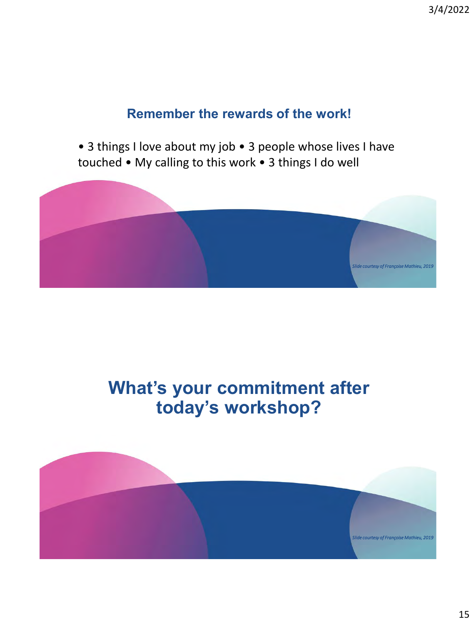#### **Remember the rewards of the work!**

• 3 things I love about my job • 3 people whose lives I have touched • My calling to this work • 3 things I do well



# **What's your commitment after today's workshop?**

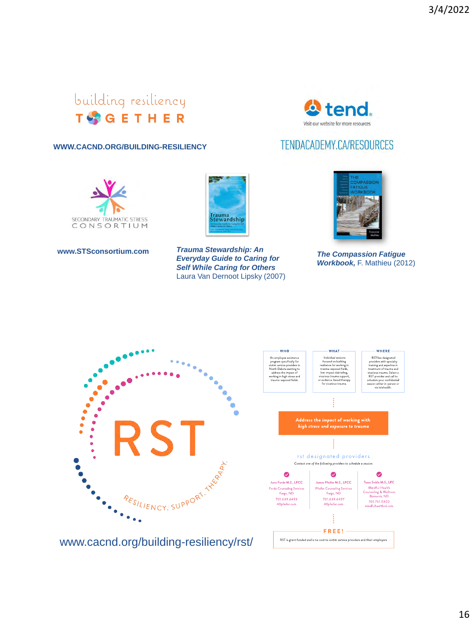# building resiliency **T**SGETHER



#### TENDACADEMY.CA/RESOURCES

#### **WWW.CACND.ORG/BUILDING-RESILIENCY**





**www.STSconsortium.com** *Trauma Stewardship: An Everyday Guide to Caring for Self While Caring for Others* Laura Van Dernoot Lipsky (2007)



*The Compassion Fatigue Workbook,* F. Mathieu (2012)

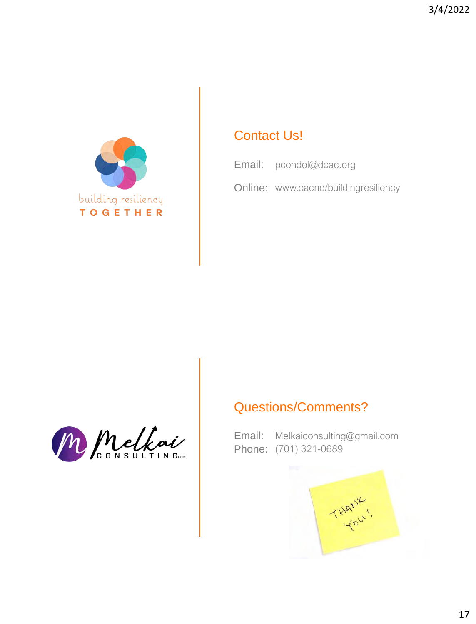

#### Contact Us!

Email: pcondol@dcac.org

Online: www.cacnd/buildingresiliency

#### Questions/Comments?



Email: Phone: (701) 321-0689 Melkaiconsulting@gmail.com